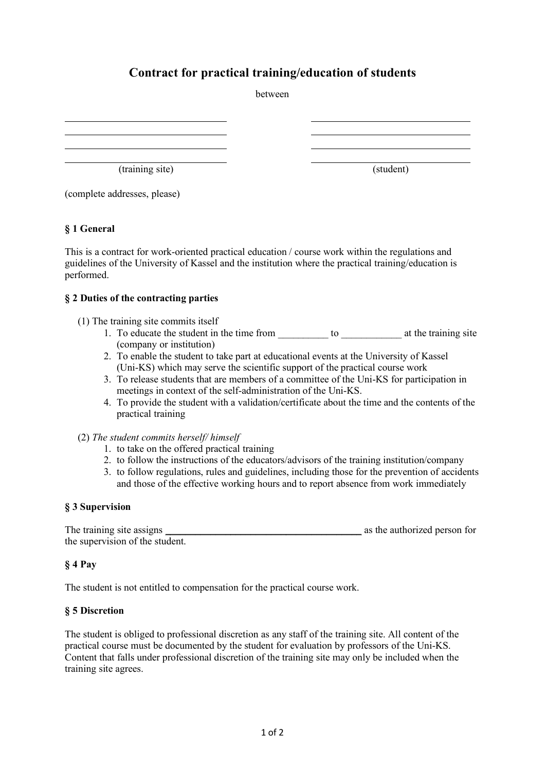# **Contract for practical training/education of students**

(training site) (student)

(complete addresses, please)

## **§ 1 General**

This is a contract for work-oriented practical education / course work within the regulations and guidelines of the University of Kassel and the institution where the practical training/education is performed.

#### **§ 2 Duties of the contracting parties**

- (1) The training site commits itself
	- 1. To educate the student in the time from \_\_\_\_\_\_\_\_\_\_ to \_\_\_\_\_\_\_\_\_\_\_\_ at the training site (company or institution)
	- 2. To enable the student to take part at educational events at the University of Kassel (Uni-KS) which may serve the scientific support of the practical course work
	- 3. To release students that are members of a committee of the Uni-KS for participation in meetings in context of the self-administration of the Uni-KS.
	- 4. To provide the student with a validation/certificate about the time and the contents of the practical training
- (2) *The student commits herself/ himself* 
	- 1. to take on the offered practical training
	- 2. to follow the instructions of the educators/advisors of the training institution/company
	- 3. to follow regulations, rules and guidelines, including those for the prevention of accidents and those of the effective working hours and to report absence from work immediately

#### **§ 3 Supervision**

| The training site assigns       | as the authorized person for |
|---------------------------------|------------------------------|
| the supervision of the student. |                              |

## **§ 4 Pay**

The student is not entitled to compensation for the practical course work.

## **§ 5 Discretion**

The student is obliged to professional discretion as any staff of the training site. All content of the practical course must be documented by the student for evaluation by professors of the Uni-KS. Content that falls under professional discretion of the training site may only be included when the training site agrees.